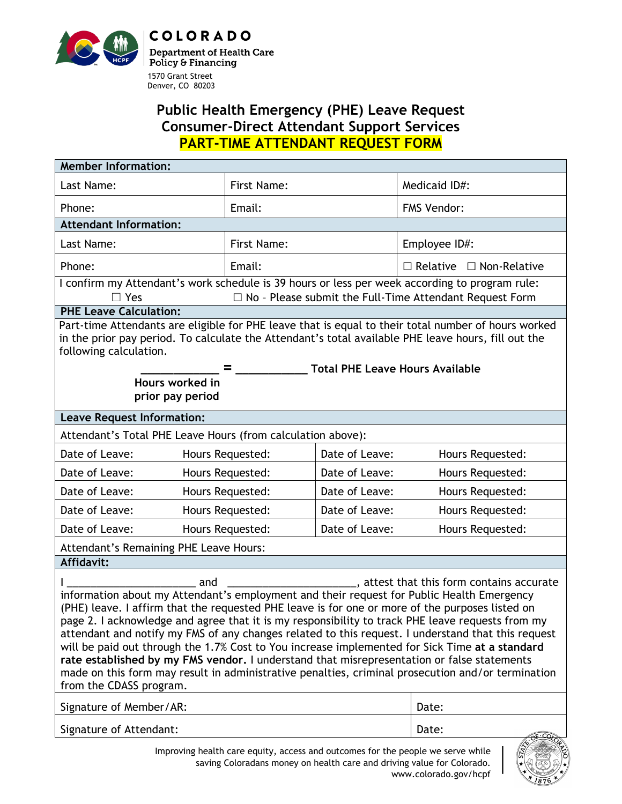

## **Public Health Emergency (PHE) Leave Request Consumer-Direct Attendant Support Services PART-TIME ATTENDANT REQUEST FORM**

| <b>Member Information:</b>                                                                                                                                                                                                                                                                                                                                                                                                                                                                                                                                                                                                                                                                                                                                                                 |                  |                |                                     |
|--------------------------------------------------------------------------------------------------------------------------------------------------------------------------------------------------------------------------------------------------------------------------------------------------------------------------------------------------------------------------------------------------------------------------------------------------------------------------------------------------------------------------------------------------------------------------------------------------------------------------------------------------------------------------------------------------------------------------------------------------------------------------------------------|------------------|----------------|-------------------------------------|
| Last Name:                                                                                                                                                                                                                                                                                                                                                                                                                                                                                                                                                                                                                                                                                                                                                                                 | First Name:      |                | Medicaid ID#:                       |
| Phone:                                                                                                                                                                                                                                                                                                                                                                                                                                                                                                                                                                                                                                                                                                                                                                                     | Email:           |                | <b>FMS Vendor:</b>                  |
| <b>Attendant Information:</b>                                                                                                                                                                                                                                                                                                                                                                                                                                                                                                                                                                                                                                                                                                                                                              |                  |                |                                     |
| Last Name:                                                                                                                                                                                                                                                                                                                                                                                                                                                                                                                                                                                                                                                                                                                                                                                 | First Name:      |                | Employee ID#:                       |
| Phone:                                                                                                                                                                                                                                                                                                                                                                                                                                                                                                                                                                                                                                                                                                                                                                                     | Email:           |                | $\Box$ Relative $\Box$ Non-Relative |
| I confirm my Attendant's work schedule is 39 hours or less per week according to program rule:<br>$\Box$ No - Please submit the Full-Time Attendant Request Form<br>$\Box$ Yes                                                                                                                                                                                                                                                                                                                                                                                                                                                                                                                                                                                                             |                  |                |                                     |
| <b>PHE Leave Calculation:</b>                                                                                                                                                                                                                                                                                                                                                                                                                                                                                                                                                                                                                                                                                                                                                              |                  |                |                                     |
| Part-time Attendants are eligible for PHE leave that is equal to their total number of hours worked<br>in the prior pay period. To calculate the Attendant's total available PHE leave hours, fill out the<br>following calculation.<br><b>Total PHE Leave Hours Available</b><br>Hours worked in                                                                                                                                                                                                                                                                                                                                                                                                                                                                                          |                  |                |                                     |
| prior pay period                                                                                                                                                                                                                                                                                                                                                                                                                                                                                                                                                                                                                                                                                                                                                                           |                  |                |                                     |
| <b>Leave Request Information:</b>                                                                                                                                                                                                                                                                                                                                                                                                                                                                                                                                                                                                                                                                                                                                                          |                  |                |                                     |
| Attendant's Total PHE Leave Hours (from calculation above):                                                                                                                                                                                                                                                                                                                                                                                                                                                                                                                                                                                                                                                                                                                                |                  |                |                                     |
| Date of Leave:                                                                                                                                                                                                                                                                                                                                                                                                                                                                                                                                                                                                                                                                                                                                                                             | Hours Requested: | Date of Leave: | Hours Requested:                    |
| Date of Leave:                                                                                                                                                                                                                                                                                                                                                                                                                                                                                                                                                                                                                                                                                                                                                                             | Hours Requested: | Date of Leave: | Hours Requested:                    |
| Date of Leave:                                                                                                                                                                                                                                                                                                                                                                                                                                                                                                                                                                                                                                                                                                                                                                             | Hours Requested: | Date of Leave: | Hours Requested:                    |
| Date of Leave:                                                                                                                                                                                                                                                                                                                                                                                                                                                                                                                                                                                                                                                                                                                                                                             | Hours Requested: | Date of Leave: | Hours Requested:                    |
| Date of Leave:                                                                                                                                                                                                                                                                                                                                                                                                                                                                                                                                                                                                                                                                                                                                                                             | Hours Requested: | Date of Leave: | Hours Requested:                    |
| Attendant's Remaining PHE Leave Hours:                                                                                                                                                                                                                                                                                                                                                                                                                                                                                                                                                                                                                                                                                                                                                     |                  |                |                                     |
| <b>Affidavit:</b>                                                                                                                                                                                                                                                                                                                                                                                                                                                                                                                                                                                                                                                                                                                                                                          |                  |                |                                     |
| s attest that this form contains accurate<br>and<br>information about my Attendant's employment and their request for Public Health Emergency<br>(PHE) leave. I affirm that the requested PHE leave is for one or more of the purposes listed on<br>page 2. I acknowledge and agree that it is my responsibility to track PHE leave requests from my<br>attendant and notify my FMS of any changes related to this request. I understand that this request<br>will be paid out through the 1.7% Cost to You increase implemented for Sick Time at a standard<br>rate established by my FMS vendor. I understand that misrepresentation or false statements<br>made on this form may result in administrative penalties, criminal prosecution and/or termination<br>from the CDASS program. |                  |                |                                     |
| Signature of Member/AR:                                                                                                                                                                                                                                                                                                                                                                                                                                                                                                                                                                                                                                                                                                                                                                    |                  |                | Date:                               |
| Signature of Attendant:                                                                                                                                                                                                                                                                                                                                                                                                                                                                                                                                                                                                                                                                                                                                                                    |                  |                | Date:<br><u>A COL</u>               |